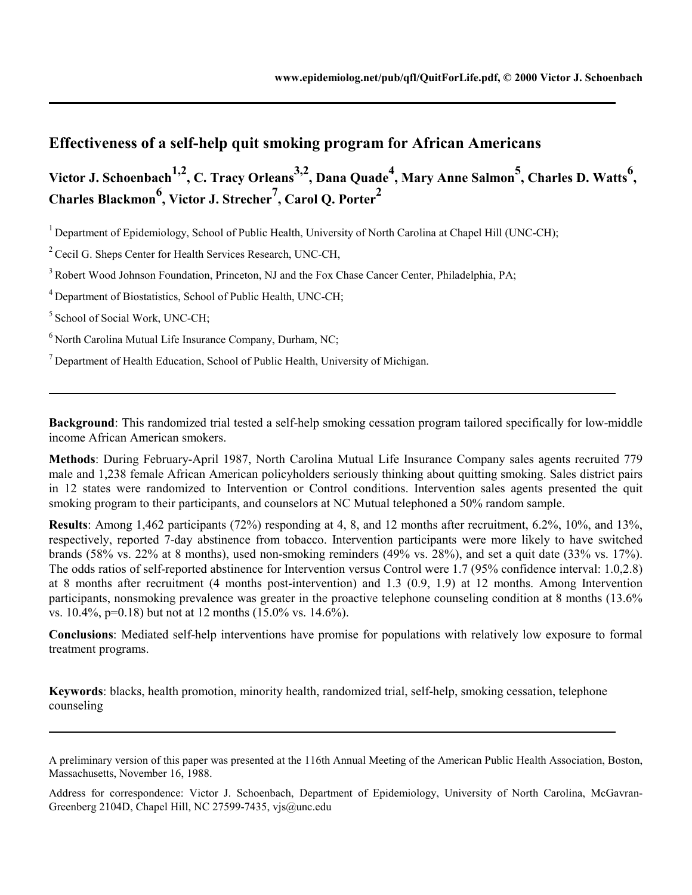# **Effectiveness of a self-help quit smoking program for African Americans**

Victor J. Schoenbach<sup>1,2</sup>, C. Tracy Orleans<sup>3,2</sup>, Dana Quade<sup>4</sup>, Mary Anne Salmon<sup>5</sup>, Charles D. Watts<sup>6</sup>, **Charles Blackmon<sup>6</sup> , Victor J. Strecher7 , Carol Q. Porter2**

<sup>1</sup> Department of Epidemiology, School of Public Health, University of North Carolina at Chapel Hill (UNC-CH);

<sup>2</sup> Cecil G. Sheps Center for Health Services Research, UNC-CH,

 $3$  Robert Wood Johnson Foundation, Princeton, NJ and the Fox Chase Cancer Center, Philadelphia, PA;

<sup>4</sup> Department of Biostatistics, School of Public Health, UNC-CH;

5 School of Social Work, UNC-CH;

l

 $6$  North Carolina Mutual Life Insurance Company, Durham, NC;

 $<sup>7</sup>$  Department of Health Education, School of Public Health, University of Michigan.</sup>

**Background**: This randomized trial tested a self-help smoking cessation program tailored specifically for low-middle income African American smokers.

**Methods**: During February-April 1987, North Carolina Mutual Life Insurance Company sales agents recruited 779 male and 1,238 female African American policyholders seriously thinking about quitting smoking. Sales district pairs in 12 states were randomized to Intervention or Control conditions. Intervention sales agents presented the quit smoking program to their participants, and counselors at NC Mutual telephoned a 50% random sample.

**Results**: Among 1,462 participants (72%) responding at 4, 8, and 12 months after recruitment, 6.2%, 10%, and 13%, respectively, reported 7-day abstinence from tobacco. Intervention participants were more likely to have switched brands (58% vs. 22% at 8 months), used non-smoking reminders (49% vs. 28%), and set a quit date (33% vs. 17%). The odds ratios of self-reported abstinence for Intervention versus Control were 1.7 (95% confidence interval: 1.0,2.8) at 8 months after recruitment (4 months post-intervention) and 1.3 (0.9, 1.9) at 12 months. Among Intervention participants, nonsmoking prevalence was greater in the proactive telephone counseling condition at 8 months (13.6% vs. 10.4%, p=0.18) but not at 12 months (15.0% vs. 14.6%).

**Conclusions**: Mediated self-help interventions have promise for populations with relatively low exposure to formal treatment programs.

**Keywords**: blacks, health promotion, minority health, randomized trial, self-help, smoking cessation, telephone counseling

A preliminary version of this paper was presented at the 116th Annual Meeting of the American Public Health Association, Boston, Massachusetts, November 16, 1988.

Address for correspondence: Victor J. Schoenbach, Department of Epidemiology, University of North Carolina, McGavran-Greenberg 2104D, Chapel Hill, NC 27599-7435, vjs@unc.edu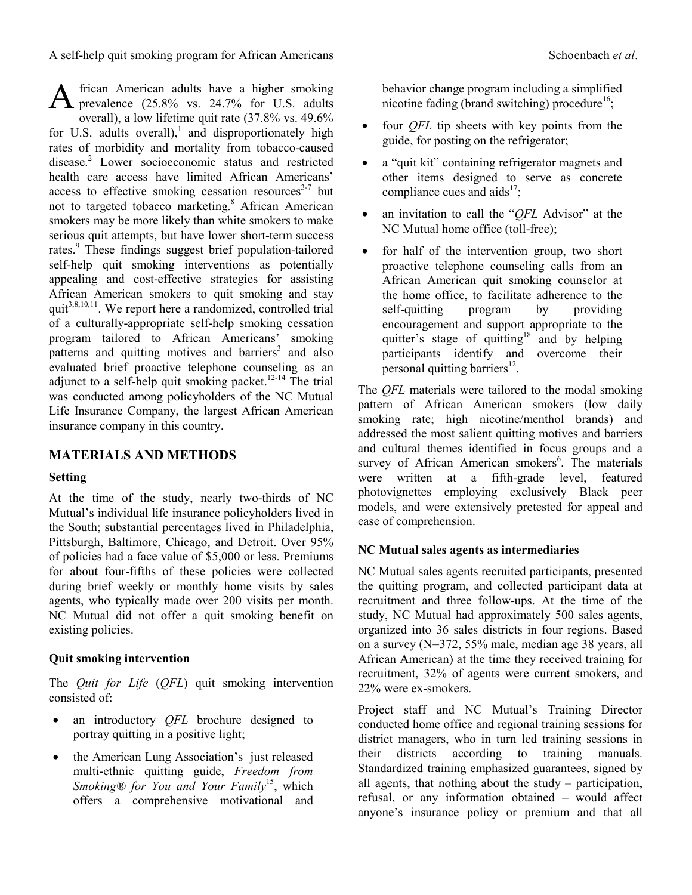frican American adults have a higher smoking A frican American adults have a higher smoking<br>prevalence (25.8% vs. 24.7% for U.S. adults overall), a low lifetime quit rate (37.8% vs. 49.6% for U.S. adults overall),<sup>1</sup> and disproportionately high rates of morbidity and mortality from tobacco-caused disease.<sup>2</sup> Lower socioeconomic status and restricted health care access have limited African Americans' access to effective smoking cessation resources $3-7$  but not to targeted tobacco marketing.<sup>8</sup> African American smokers may be more likely than white smokers to make serious quit attempts, but have lower short-term success rates.<sup>9</sup> These findings suggest brief population-tailored self-help quit smoking interventions as potentially appealing and cost-effective strategies for assisting African American smokers to quit smoking and stay quit<sup>3,8,10,11</sup>. We report here a randomized, controlled trial of a culturally-appropriate self-help smoking cessation program tailored to African Americans' smoking patterns and quitting motives and barriers<sup>3</sup> and also evaluated brief proactive telephone counseling as an adjunct to a self-help quit smoking packet.<sup>12-14</sup> The trial was conducted among policyholders of the NC Mutual Life Insurance Company, the largest African American insurance company in this country.

## **MATERIALS AND METHODS**

#### **Setting**

At the time of the study, nearly two-thirds of NC Mutual's individual life insurance policyholders lived in the South; substantial percentages lived in Philadelphia, Pittsburgh, Baltimore, Chicago, and Detroit. Over 95% of policies had a face value of \$5,000 or less. Premiums for about four-fifths of these policies were collected during brief weekly or monthly home visits by sales agents, who typically made over 200 visits per month. NC Mutual did not offer a quit smoking benefit on existing policies.

### **Quit smoking intervention**

The *Quit for Life* (*QFL*) quit smoking intervention consisted of:

- an introductory *QFL* brochure designed to portray quitting in a positive light;
- the American Lung Association's just released multi-ethnic quitting guide, *Freedom from Smoking® for You and Your Family*15, which offers a comprehensive motivational and

behavior change program including a simplified nicotine fading (brand switching) procedure<sup>16</sup>;

- four *QFL* tip sheets with key points from the guide, for posting on the refrigerator;
- a "quit kit" containing refrigerator magnets and other items designed to serve as concrete compliance cues and aids<sup>17</sup>;
- an invitation to call the "*QFL* Advisor" at the NC Mutual home office (toll-free);
- for half of the intervention group, two short proactive telephone counseling calls from an African American quit smoking counselor at the home office, to facilitate adherence to the self-quitting program by providing encouragement and support appropriate to the quitter's stage of quitting<sup>18</sup> and by helping participants identify and overcome their personal quitting barriers<sup>12</sup>.

The *QFL* materials were tailored to the modal smoking pattern of African American smokers (low daily smoking rate; high nicotine/menthol brands) and addressed the most salient quitting motives and barriers and cultural themes identified in focus groups and a survey of African American smokers<sup>6</sup>. The materials were written at a fifth-grade level, featured photovignettes employing exclusively Black peer models, and were extensively pretested for appeal and ease of comprehension.

### **NC Mutual sales agents as intermediaries**

NC Mutual sales agents recruited participants, presented the quitting program, and collected participant data at recruitment and three follow-ups. At the time of the study, NC Mutual had approximately 500 sales agents, organized into 36 sales districts in four regions. Based on a survey (N=372, 55% male, median age 38 years, all African American) at the time they received training for recruitment, 32% of agents were current smokers, and 22% were ex-smokers.

Project staff and NC Mutual's Training Director conducted home office and regional training sessions for district managers, who in turn led training sessions in their districts according to training manuals. Standardized training emphasized guarantees, signed by all agents, that nothing about the study – participation, refusal, or any information obtained – would affect anyone's insurance policy or premium and that all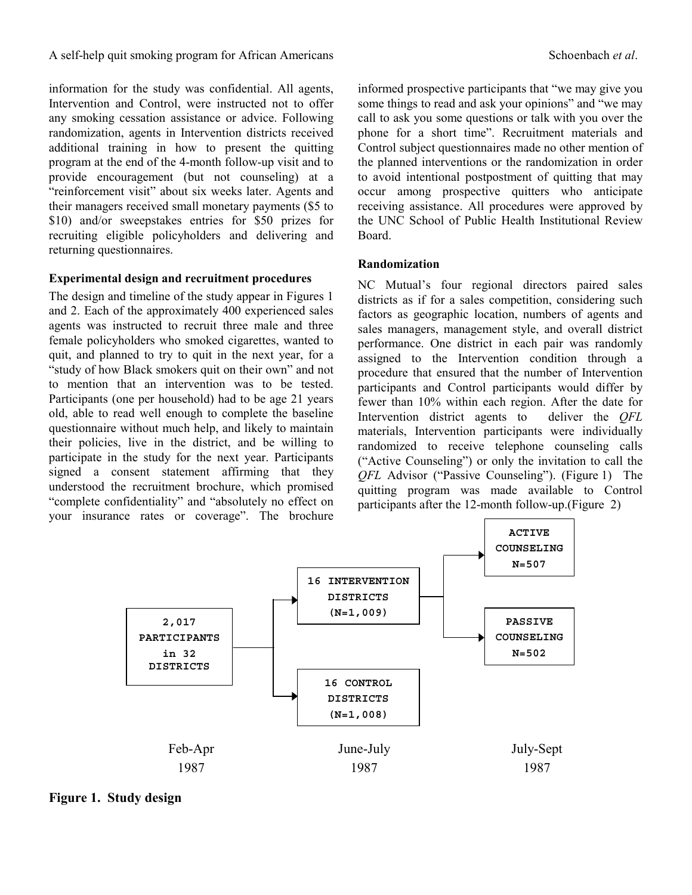information for the study was confidential. All agents, Intervention and Control, were instructed not to offer any smoking cessation assistance or advice. Following randomization, agents in Intervention districts received additional training in how to present the quitting program at the end of the 4-month follow-up visit and to provide encouragement (but not counseling) at a "reinforcement visit" about six weeks later. Agents and their managers received small monetary payments (\$5 to \$10) and/or sweepstakes entries for \$50 prizes for recruiting eligible policyholders and delivering and returning questionnaires.

#### **Experimental design and recruitment procedures**

The design and timeline of the study appear in Figures 1 and 2. Each of the approximately 400 experienced sales agents was instructed to recruit three male and three female policyholders who smoked cigarettes, wanted to quit, and planned to try to quit in the next year, for a "study of how Black smokers quit on their own" and not to mention that an intervention was to be tested. Participants (one per household) had to be age 21 years old, able to read well enough to complete the baseline questionnaire without much help, and likely to maintain their policies, live in the district, and be willing to participate in the study for the next year. Participants signed a consent statement affirming that they understood the recruitment brochure, which promised "complete confidentiality" and "absolutely no effect on your insurance rates or coverage". The brochure informed prospective participants that "we may give you some things to read and ask your opinions" and "we may call to ask you some questions or talk with you over the phone for a short time". Recruitment materials and Control subject questionnaires made no other mention of the planned interventions or the randomization in order to avoid intentional postpostment of quitting that may occur among prospective quitters who anticipate receiving assistance. All procedures were approved by the UNC School of Public Health Institutional Review Board.

#### **Randomization**

NC Mutual's four regional directors paired sales districts as if for a sales competition, considering such factors as geographic location, numbers of agents and sales managers, management style, and overall district performance. One district in each pair was randomly assigned to the Intervention condition through a procedure that ensured that the number of Intervention participants and Control participants would differ by fewer than 10% within each region. After the date for Intervention district agents to deliver the *QFL* materials, Intervention participants were individually randomized to receive telephone counseling calls ("Active Counseling") or only the invitation to call the *QFL* Advisor ("Passive Counseling"). (Figure 1) The quitting program was made available to Control participants after the 12-month follow-up.(Figure 2)



**Figure 1. Study design**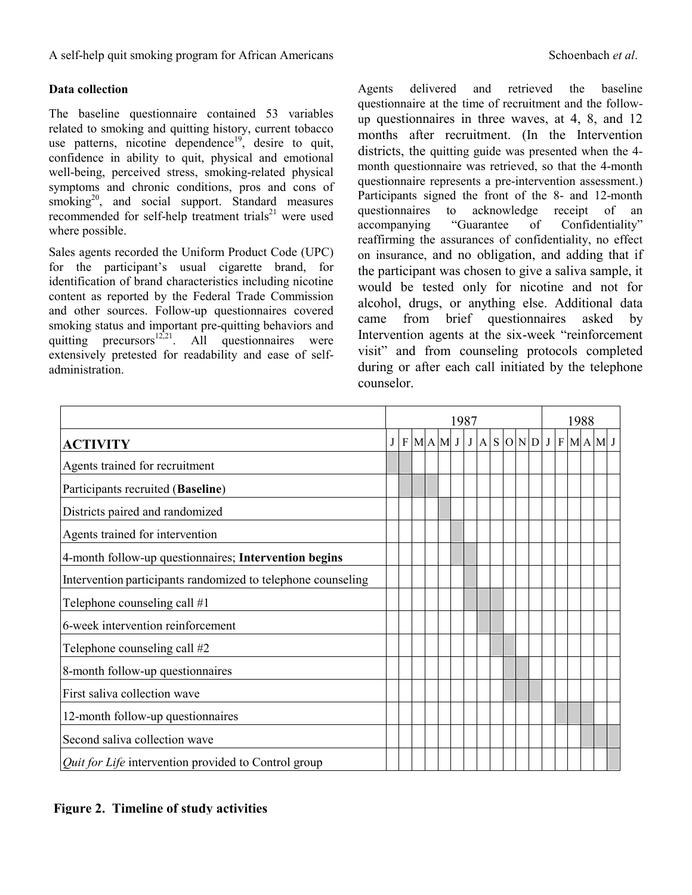### **Data collection**

The baseline questionnaire contained 53 variables related to smoking and quitting history, current tobacco use patterns, nicotine dependence<sup>19</sup>, desire to quit, confidence in ability to quit, physical and emotional well-being, perceived stress, smoking-related physical symptoms and chronic conditions, pros and cons of smoking<sup>20</sup>, and social support. Standard measures recommended for self-help treatment trials $^{21}$  were used where possible.

Sales agents recorded the Uniform Product Code (UPC) for the participant's usual cigarette brand, for identification of brand characteristics including nicotine content as reported by the Federal Trade Commission and other sources. Follow-up questionnaires covered smoking status and important pre-quitting behaviors and quitting precursors<sup>12,21</sup>. All questionnaires were extensively pretested for readability and ease of selfadministration.

Agents delivered and retrieved the baseline questionnaire at the time of recruitment and the followup questionnaires in three waves, at 4, 8, and 12 months after recruitment. (In the Intervention districts, the quitting guide was presented when the 4 month questionnaire was retrieved, so that the 4-month questionnaire represents a pre-intervention assessment.) Participants signed the front of the 8- and 12-month questionnaires to acknowledge receipt of an accompanying "Guarantee of Confidentiality" reaffirming the assurances of confidentiality, no effect on insurance, and no obligation, and adding that if the participant was chosen to give a saliva sample, it would be tested only for nicotine and not for alcohol, drugs, or anything else. Additional data came from brief questionnaires asked by Intervention agents at the six-week "reinforcement visit" and from counseling protocols completed during or after each call initiated by the telephone counselor.

|                                                              | 1987           |  |  |           |  | 1988 |              |  |                       |  |  |  |  |  |  |
|--------------------------------------------------------------|----------------|--|--|-----------|--|------|--------------|--|-----------------------|--|--|--|--|--|--|
| <b>ACTIVITY</b>                                              | J <sub>1</sub> |  |  | $F$ MAMJJ |  |      | $\mathbf{A}$ |  | $S$ O N D J F M A M J |  |  |  |  |  |  |
| Agents trained for recruitment                               |                |  |  |           |  |      |              |  |                       |  |  |  |  |  |  |
| Participants recruited (Baseline)                            |                |  |  |           |  |      |              |  |                       |  |  |  |  |  |  |
| Districts paired and randomized                              |                |  |  |           |  |      |              |  |                       |  |  |  |  |  |  |
| Agents trained for intervention                              |                |  |  |           |  |      |              |  |                       |  |  |  |  |  |  |
| 4-month follow-up questionnaires; Intervention begins        |                |  |  |           |  |      |              |  |                       |  |  |  |  |  |  |
| Intervention participants randomized to telephone counseling |                |  |  |           |  |      |              |  |                       |  |  |  |  |  |  |
| Telephone counseling call #1                                 |                |  |  |           |  |      |              |  |                       |  |  |  |  |  |  |
| 6-week intervention reinforcement                            |                |  |  |           |  |      |              |  |                       |  |  |  |  |  |  |
| Telephone counseling call #2                                 |                |  |  |           |  |      |              |  |                       |  |  |  |  |  |  |
| 8-month follow-up questionnaires                             |                |  |  |           |  |      |              |  |                       |  |  |  |  |  |  |
| First saliva collection wave                                 |                |  |  |           |  |      |              |  |                       |  |  |  |  |  |  |
| 12-month follow-up questionnaires                            |                |  |  |           |  |      |              |  |                       |  |  |  |  |  |  |
| Second saliva collection wave                                |                |  |  |           |  |      |              |  |                       |  |  |  |  |  |  |
| Quit for Life intervention provided to Control group         |                |  |  |           |  |      |              |  |                       |  |  |  |  |  |  |

## **Figure 2. Timeline of study activities**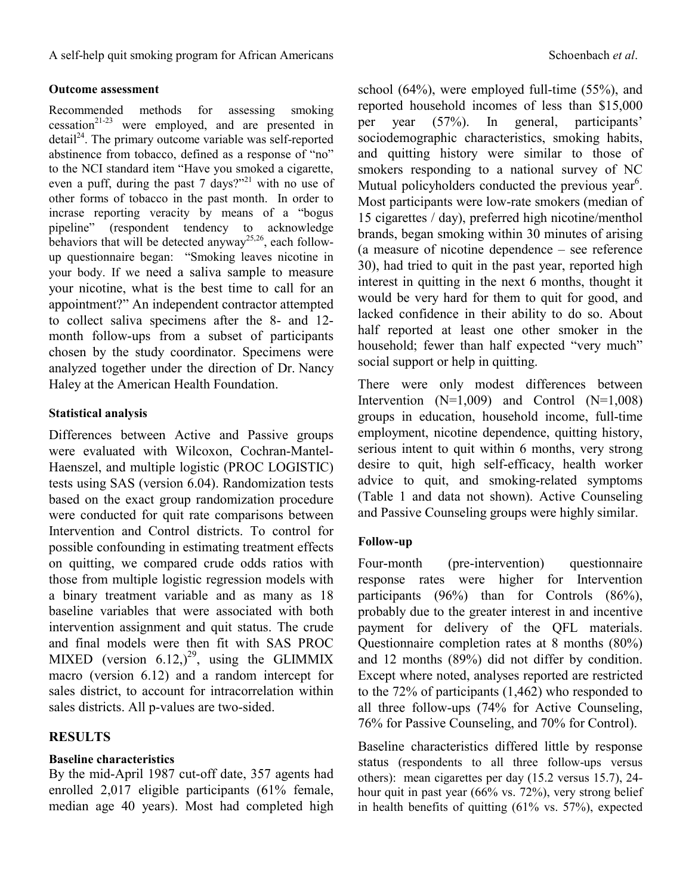### **Outcome assessment**

Recommended methods for assessing smoking  $c$ essation<sup>21-23</sup> were employed, and are presented in  $\text{detail}^{24}$ . The primary outcome variable was self-reported abstinence from tobacco, defined as a response of "no" to the NCI standard item "Have you smoked a cigarette, even a puff, during the past 7 days?"<sup>21</sup> with no use of other forms of tobacco in the past month. In order to incrase reporting veracity by means of a "bogus pipeline" (respondent tendency to acknowledge behaviors that will be detected anyway<sup>25,26</sup>, each followup questionnaire began: "Smoking leaves nicotine in your body. If we need a saliva sample to measure your nicotine, what is the best time to call for an appointment?" An independent contractor attempted to collect saliva specimens after the 8- and 12 month follow-ups from a subset of participants chosen by the study coordinator. Specimens were analyzed together under the direction of Dr. Nancy Haley at the American Health Foundation.

## **Statistical analysis**

Differences between Active and Passive groups were evaluated with Wilcoxon, Cochran-Mantel-Haenszel, and multiple logistic (PROC LOGISTIC) tests using SAS (version 6.04). Randomization tests based on the exact group randomization procedure were conducted for quit rate comparisons between Intervention and Control districts. To control for possible confounding in estimating treatment effects on quitting, we compared crude odds ratios with those from multiple logistic regression models with a binary treatment variable and as many as 18 baseline variables that were associated with both intervention assignment and quit status. The crude and final models were then fit with SAS PROC MIXED (version  $6.12$ )<sup>29</sup>, using the GLIMMIX macro (version 6.12) and a random intercept for sales district, to account for intracorrelation within sales districts. All p-values are two-sided.

# **RESULTS**

## **Baseline characteristics**

By the mid-April 1987 cut-off date, 357 agents had enrolled 2,017 eligible participants (61% female, median age 40 years). Most had completed high school (64%), were employed full-time (55%), and reported household incomes of less than \$15,000 per year (57%). In general, participants' sociodemographic characteristics, smoking habits, and quitting history were similar to those of smokers responding to a national survey of NC Mutual policyholders conducted the previous year<sup>6</sup>. Most participants were low-rate smokers (median of 15 cigarettes / day), preferred high nicotine/menthol brands, began smoking within 30 minutes of arising (a measure of nicotine dependence – see reference 30), had tried to quit in the past year, reported high interest in quitting in the next 6 months, thought it would be very hard for them to quit for good, and lacked confidence in their ability to do so. About half reported at least one other smoker in the household; fewer than half expected "very much" social support or help in quitting.

There were only modest differences between Intervention  $(N=1,009)$  and Control  $(N=1,008)$ groups in education, household income, full-time employment, nicotine dependence, quitting history, serious intent to quit within 6 months, very strong desire to quit, high self-efficacy, health worker advice to quit, and smoking-related symptoms (Table 1 and data not shown). Active Counseling and Passive Counseling groups were highly similar.

## **Follow-up**

Four-month (pre-intervention) questionnaire response rates were higher for Intervention participants (96%) than for Controls (86%), probably due to the greater interest in and incentive payment for delivery of the QFL materials. Questionnaire completion rates at 8 months (80%) and 12 months (89%) did not differ by condition. Except where noted, analyses reported are restricted to the 72% of participants (1,462) who responded to all three follow-ups (74% for Active Counseling, 76% for Passive Counseling, and 70% for Control).

Baseline characteristics differed little by response status (respondents to all three follow-ups versus others): mean cigarettes per day (15.2 versus 15.7), 24 hour quit in past year (66% vs. 72%), very strong belief in health benefits of quitting (61% vs. 57%), expected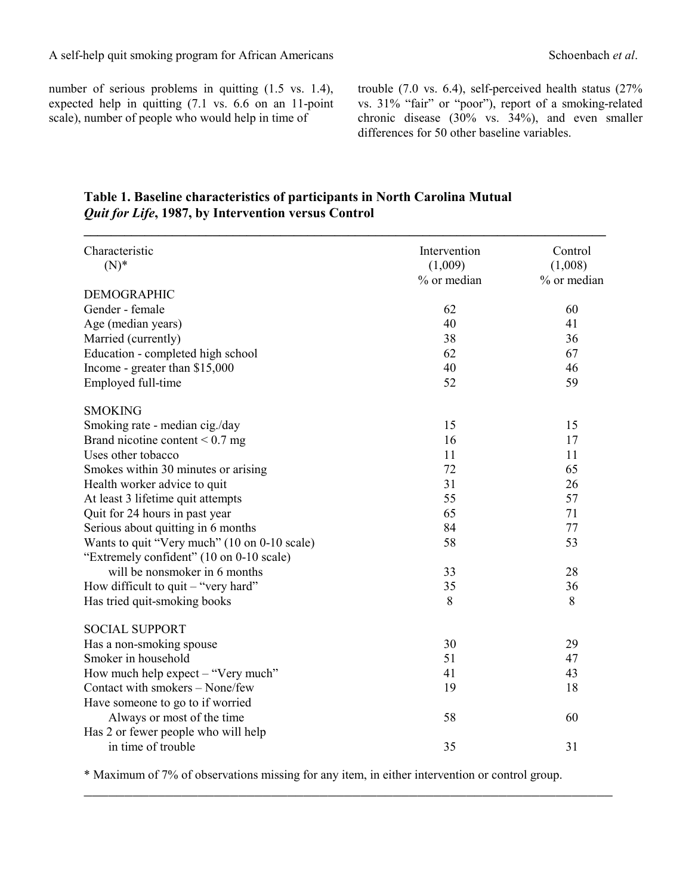number of serious problems in quitting  $(1.5 \text{ vs. } 1.4)$ , expected help in quitting (7.1 vs. 6.6 on an 11-point scale), number of people who would help in time of

trouble (7.0 vs. 6.4), self-perceived health status (27% vs. 31% "fair" or "poor"), report of a smoking-related chronic disease (30% vs. 34%), and even smaller differences for 50 other baseline variables.

## **Table 1. Baseline characteristics of participants in North Carolina Mutual**  *Quit for Life***, 1987, by Intervention versus Control**

 $\mathcal{L}_\mathcal{L} = \mathcal{L}_\mathcal{L} = \mathcal{L}_\mathcal{L} = \mathcal{L}_\mathcal{L} = \mathcal{L}_\mathcal{L} = \mathcal{L}_\mathcal{L} = \mathcal{L}_\mathcal{L} = \mathcal{L}_\mathcal{L} = \mathcal{L}_\mathcal{L} = \mathcal{L}_\mathcal{L} = \mathcal{L}_\mathcal{L} = \mathcal{L}_\mathcal{L} = \mathcal{L}_\mathcal{L} = \mathcal{L}_\mathcal{L} = \mathcal{L}_\mathcal{L} = \mathcal{L}_\mathcal{L} = \mathcal{L}_\mathcal{L}$ 

| Characteristic<br>$(N)^*$                    | Intervention<br>(1,009)<br>% or median | Control<br>(1,008)<br>% or median |
|----------------------------------------------|----------------------------------------|-----------------------------------|
| <b>DEMOGRAPHIC</b>                           |                                        |                                   |
| Gender - female                              | 62                                     | 60                                |
| Age (median years)                           | 40                                     | 41                                |
| Married (currently)                          | 38                                     | 36                                |
| Education - completed high school            | 62                                     | 67                                |
| Income - greater than \$15,000               | 40                                     | 46                                |
| Employed full-time                           | 52                                     | 59                                |
| <b>SMOKING</b>                               |                                        |                                   |
| Smoking rate - median cig./day               | 15                                     | 15                                |
| Brand nicotine content $< 0.7$ mg            | 16                                     | 17                                |
| Uses other tobacco                           | 11                                     | 11                                |
| Smokes within 30 minutes or arising          | 72                                     | 65                                |
| Health worker advice to quit                 | 31                                     | 26                                |
| At least 3 lifetime quit attempts            | 55                                     | 57                                |
| Quit for 24 hours in past year               | 65                                     | 71                                |
| Serious about quitting in 6 months           | 84                                     | 77                                |
| Wants to quit "Very much" (10 on 0-10 scale) | 58                                     | 53                                |
| "Extremely confident" (10 on 0-10 scale)     |                                        |                                   |
| will be nonsmoker in 6 months                | 33                                     | 28                                |
| How difficult to quit – "very hard"          | 35                                     | 36                                |
| Has tried quit-smoking books                 | 8                                      | 8                                 |
| <b>SOCIAL SUPPORT</b>                        |                                        |                                   |
| Has a non-smoking spouse                     | 30                                     | 29                                |
| Smoker in household                          | 51                                     | 47                                |
| How much help expect - "Very much"           | 41                                     | 43                                |
| Contact with smokers - None/few              | 19                                     | 18                                |
| Have someone to go to if worried             |                                        |                                   |
| Always or most of the time                   | 58                                     | 60                                |
| Has 2 or fewer people who will help          |                                        |                                   |
| in time of trouble                           | 35                                     | 31                                |

\* Maximum of 7% of observations missing for any item, in either intervention or control group.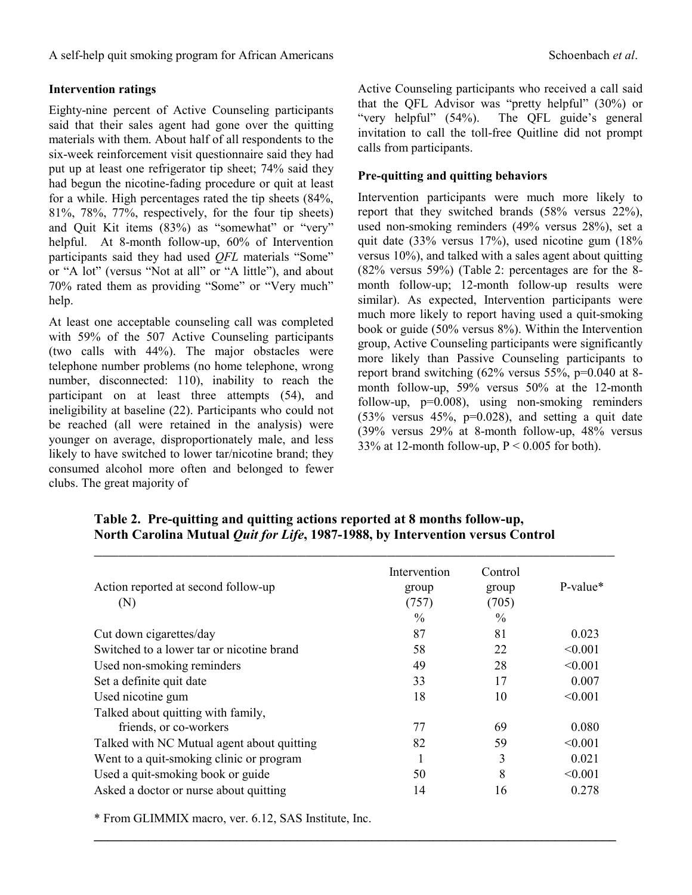### **Intervention ratings**

Eighty-nine percent of Active Counseling participants said that their sales agent had gone over the quitting materials with them. About half of all respondents to the six-week reinforcement visit questionnaire said they had put up at least one refrigerator tip sheet; 74% said they had begun the nicotine-fading procedure or quit at least for a while. High percentages rated the tip sheets (84%, 81%, 78%, 77%, respectively, for the four tip sheets) and Quit Kit items (83%) as "somewhat" or "very" helpful. At 8-month follow-up, 60% of Intervention participants said they had used *QFL* materials "Some" or "A lot" (versus "Not at all" or "A little"), and about 70% rated them as providing "Some" or "Very much" help.

At least one acceptable counseling call was completed with 59% of the 507 Active Counseling participants (two calls with 44%). The major obstacles were telephone number problems (no home telephone, wrong number, disconnected: 110), inability to reach the participant on at least three attempts (54), and ineligibility at baseline (22). Participants who could not be reached (all were retained in the analysis) were younger on average, disproportionately male, and less likely to have switched to lower tar/nicotine brand; they consumed alcohol more often and belonged to fewer clubs. The great majority of

Active Counseling participants who received a call said that the QFL Advisor was "pretty helpful" (30%) or "very helpful" (54%). The QFL guide's general invitation to call the toll-free Quitline did not prompt calls from participants.

### **Pre-quitting and quitting behaviors**

Intervention participants were much more likely to report that they switched brands (58% versus 22%), used non-smoking reminders (49% versus 28%), set a quit date (33% versus 17%), used nicotine gum (18% versus 10%), and talked with a sales agent about quitting (82% versus 59%) (Table 2: percentages are for the 8 month follow-up; 12-month follow-up results were similar). As expected, Intervention participants were much more likely to report having used a quit-smoking book or guide (50% versus 8%). Within the Intervention group, Active Counseling participants were significantly more likely than Passive Counseling participants to report brand switching (62% versus 55%, p=0.040 at 8 month follow-up, 59% versus 50% at the 12-month follow-up, p=0.008), using non-smoking reminders  $(53\%$  versus  $45\%$ ,  $p=0.028$ ), and setting a quit date (39% versus 29% at 8-month follow-up, 48% versus 33% at 12-month follow-up,  $P \le 0.005$  for both).

| Table 2. Pre-quitting and quitting actions reported at 8 months follow-up,             |
|----------------------------------------------------------------------------------------|
| North Carolina Mutual <i>Quit for Life</i> , 1987-1988, by Intervention versus Control |
|                                                                                        |

| Action reported at second follow-up<br>(N) | Intervention<br>group<br>(757)<br>$\frac{0}{0}$ | Control<br>group<br>(705)<br>$\frac{0}{0}$ | $P-value*$ |
|--------------------------------------------|-------------------------------------------------|--------------------------------------------|------------|
| Cut down cigarettes/day                    | 87                                              | 81                                         | 0.023      |
| Switched to a lower tar or nicotine brand  | 58                                              | 22                                         | < 0.001    |
| Used non-smoking reminders                 | 49                                              | 28                                         | < 0.001    |
| Set a definite quit date                   | 33                                              | 17                                         | 0.007      |
| Used nicotine gum                          | 18                                              | 10                                         | < 0.001    |
| Talked about quitting with family,         |                                                 |                                            |            |
| friends, or co-workers                     | 77                                              | 69                                         | 0.080      |
| Talked with NC Mutual agent about quitting | 82                                              | 59                                         | < 0.001    |
| Went to a quit-smoking clinic or program   |                                                 | 3                                          | 0.021      |
| Used a quit-smoking book or guide          | 50                                              | 8                                          | < 0.001    |
| Asked a doctor or nurse about quitting     | 14                                              | 16                                         | 0.278      |

 $\mathcal{L}_\mathcal{L} = \{ \mathcal{L}_\mathcal{L} = \{ \mathcal{L}_\mathcal{L} = \{ \mathcal{L}_\mathcal{L} = \{ \mathcal{L}_\mathcal{L} = \{ \mathcal{L}_\mathcal{L} = \{ \mathcal{L}_\mathcal{L} = \{ \mathcal{L}_\mathcal{L} = \{ \mathcal{L}_\mathcal{L} = \{ \mathcal{L}_\mathcal{L} = \{ \mathcal{L}_\mathcal{L} = \{ \mathcal{L}_\mathcal{L} = \{ \mathcal{L}_\mathcal{L} = \{ \mathcal{L}_\mathcal{L} = \{ \mathcal{L}_\mathcal{$ 

\* From GLIMMIX macro, ver. 6.12, SAS Institute, Inc.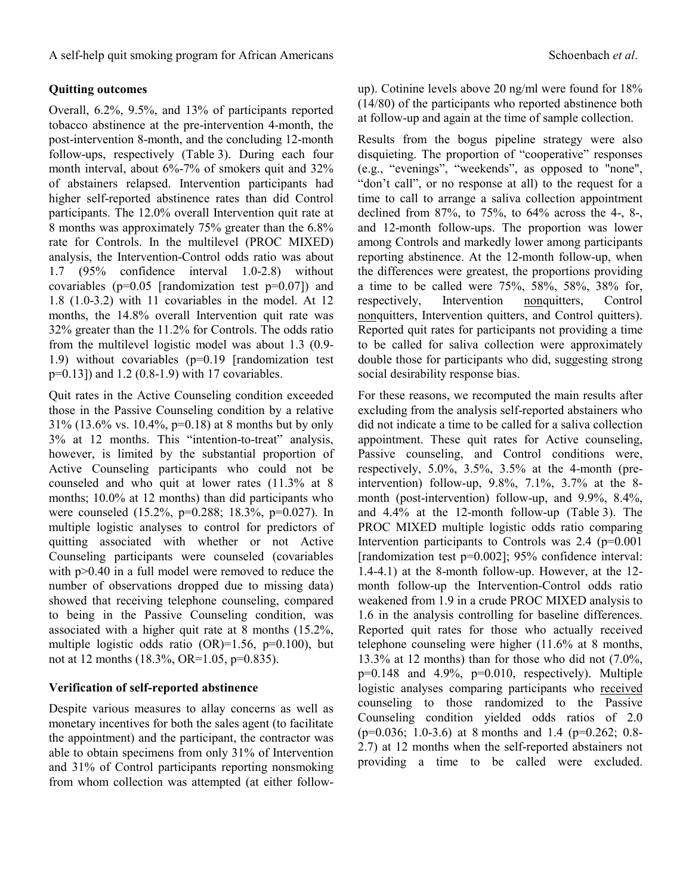### **Quitting outcomes**

Overall, 6.2%, 9.5%, and 13% of participants reported tobacco abstinence at the pre-intervention 4-month, the post-intervention 8-month, and the concluding 12-month follow-ups, respectively (Table 3). During each four month interval, about 6%-7% of smokers quit and 32% of abstainers relapsed. Intervention participants had higher self-reported abstinence rates than did Control participants. The 12.0% overall Intervention quit rate at 8 months was approximately 75% greater than the 6.8% rate for Controls. In the multilevel (PROC MIXED) analysis, the Intervention-Control odds ratio was about 1.7 (95% confidence interval 1.0-2.8) without covariables ( $p=0.05$  [randomization test  $p=0.07$ ]) and 1.8 (1.0-3.2) with 11 covariables in the model. At 12 months, the 14.8% overall Intervention quit rate was 32% greater than the 11.2% for Controls. The odds ratio from the multilevel logistic model was about 1.3 (0.9- 1.9) without covariables (p=0.19 [randomization test p=0.13]) and 1.2 (0.8-1.9) with 17 covariables.

Quit rates in the Active Counseling condition exceeded those in the Passive Counseling condition by a relative 31% (13.6% vs. 10.4%, p=0.18) at 8 months but by only 3% at 12 months. This "intention-to-treat" analysis, however, is limited by the substantial proportion of Active Counseling participants who could not be counseled and who quit at lower rates (11.3% at 8 months; 10.0% at 12 months) than did participants who were counseled (15.2%, p=0.288; 18.3%, p=0.027). In multiple logistic analyses to control for predictors of quitting associated with whether or not Active Counseling participants were counseled (covariables with  $p > 0.40$  in a full model were removed to reduce the number of observations dropped due to missing data) showed that receiving telephone counseling, compared to being in the Passive Counseling condition, was associated with a higher quit rate at 8 months (15.2%, multiple logistic odds ratio  $(OR)=1.56$ ,  $p=0.100$ ), but not at 12 months (18.3%, OR=1.05, p=0.835).

#### **Verification of self-reported abstinence**

Despite various measures to allay concerns as well as monetary incentives for both the sales agent (to facilitate the appointment) and the participant, the contractor was able to obtain specimens from only 31% of Intervention and 31% of Control participants reporting nonsmoking from whom collection was attempted (at either followup). Cotinine levels above 20 ng/ml were found for 18% (14/80) of the participants who reported abstinence both at follow-up and again at the time of sample collection.

Results from the bogus pipeline strategy were also disquieting. The proportion of "cooperative" responses (e.g., "evenings", "weekends", as opposed to "none", "don't call", or no response at all) to the request for a time to call to arrange a saliva collection appointment declined from 87%, to 75%, to 64% across the 4-, 8-, and 12-month follow-ups. The proportion was lower among Controls and markedly lower among participants reporting abstinence. At the 12-month follow-up, when the differences were greatest, the proportions providing a time to be called were 75%, 58%, 58%, 38% for, respectively, Intervention nonquitters, Control nonquitters, Intervention quitters, and Control quitters). Reported quit rates for participants not providing a time to be called for saliva collection were approximately double those for participants who did, suggesting strong social desirability response bias.

For these reasons, we recomputed the main results after excluding from the analysis self-reported abstainers who did not indicate a time to be called for a saliva collection appointment. These quit rates for Active counseling, Passive counseling, and Control conditions were, respectively, 5.0%, 3.5%, 3.5% at the 4-month (preintervention) follow-up, 9.8%, 7.1%, 3.7% at the 8 month (post-intervention) follow-up, and 9.9%, 8.4%, and 4.4% at the 12-month follow-up (Table 3). The PROC MIXED multiple logistic odds ratio comparing Intervention participants to Controls was 2.4 (p=0.001 [randomization test p=0.002]; 95% confidence interval: 1.4-4.1) at the 8-month follow-up. However, at the 12 month follow-up the Intervention-Control odds ratio weakened from 1.9 in a crude PROC MIXED analysis to 1.6 in the analysis controlling for baseline differences. Reported quit rates for those who actually received telephone counseling were higher (11.6% at 8 months, 13.3% at 12 months) than for those who did not (7.0%,  $p=0.148$  and  $4.9\%$ ,  $p=0.010$ , respectively). Multiple logistic analyses comparing participants who received counseling to those randomized to the Passive Counseling condition yielded odds ratios of 2.0 (p=0.036; 1.0-3.6) at 8 months and 1.4 (p=0.262; 0.8- 2.7) at 12 months when the self-reported abstainers not providing a time to be called were excluded.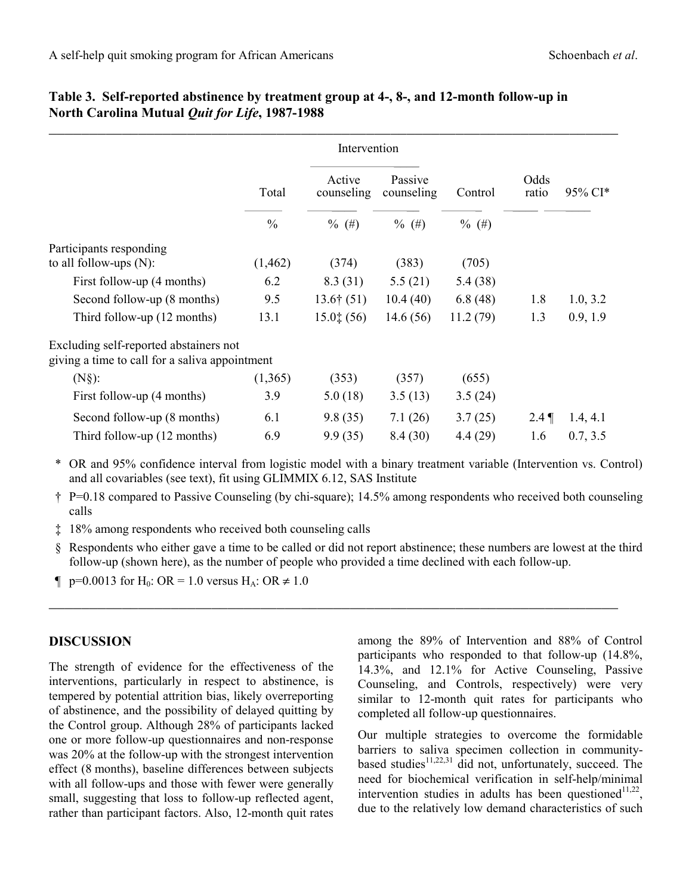|                                                                                          |               | Intervention         |                       |          |               |          |
|------------------------------------------------------------------------------------------|---------------|----------------------|-----------------------|----------|---------------|----------|
|                                                                                          | Total         | Active<br>counseling | Passive<br>counseling | Control  | Odds<br>ratio | 95% CI*  |
|                                                                                          | $\frac{0}{0}$ | $\%$ (#)             | $\%$ (#)              | $\%$ (#) |               |          |
| Participants responding                                                                  |               |                      |                       |          |               |          |
| to all follow-ups $(N)$ :                                                                | (1, 462)      | (374)                | (383)                 | (705)    |               |          |
| First follow-up (4 months)                                                               | 6.2           | 8.3(31)              | 5.5(21)               | 5.4(38)  |               |          |
| Second follow-up (8 months)                                                              | 9.5           | $13.6\dagger(51)$    | 10.4(40)              | 6.8(48)  | 1.8           | 1.0, 3.2 |
| Third follow-up (12 months)                                                              | 13.1          | $15.0$ $(56)$        | 14.6(56)              | 11.2(79) | 1.3           | 0.9, 1.9 |
| Excluding self-reported abstainers not<br>giving a time to call for a saliva appointment |               |                      |                       |          |               |          |
| $(N§)$ :                                                                                 | (1,365)       | (353)                | (357)                 | (655)    |               |          |
| First follow-up (4 months)                                                               | 3.9           | 5.0(18)              | 3.5(13)               | 3.5(24)  |               |          |
| Second follow-up (8 months)                                                              | 6.1           | 9.8(35)              | 7.1(26)               | 3.7(25)  | $2.4$ ¶       | 1.4, 4.1 |
| Third follow-up (12 months)                                                              | 6.9           | 9.9(35)              | 8.4(30)               | 4.4(29)  | 1.6           | 0.7, 3.5 |

### **Table 3. Self-reported abstinence by treatment group at 4-, 8-, and 12-month follow-up in North Carolina Mutual** *Quit for Life***, 1987-1988**

 \* OR and 95% confidence interval from logistic model with a binary treatment variable (Intervention vs. Control) and all covariables (see text), fit using GLIMMIX 6.12, SAS Institute

- † P=0.18 compared to Passive Counseling (by chi-square); 14.5% among respondents who received both counseling calls
- ‡ 18% among respondents who received both counseling calls
- § Respondents who either gave a time to be called or did not report abstinence; these numbers are lowest at the third follow-up (shown here), as the number of people who provided a time declined with each follow-up.
- $\P$  p=0.0013 for H<sub>0</sub>: OR = 1.0 versus H<sub>A</sub>: OR ≠ 1.0

### **DISCUSSION**

The strength of evidence for the effectiveness of the interventions, particularly in respect to abstinence, is tempered by potential attrition bias, likely overreporting of abstinence, and the possibility of delayed quitting by the Control group. Although 28% of participants lacked one or more follow-up questionnaires and non-response was 20% at the follow-up with the strongest intervention effect (8 months), baseline differences between subjects with all follow-ups and those with fewer were generally small, suggesting that loss to follow-up reflected agent, rather than participant factors. Also, 12-month quit rates among the 89% of Intervention and 88% of Control participants who responded to that follow-up (14.8%, 14.3%, and 12.1% for Active Counseling, Passive Counseling, and Controls, respectively) were very similar to 12-month quit rates for participants who completed all follow-up questionnaires.

Our multiple strategies to overcome the formidable barriers to saliva specimen collection in communitybased studies<sup>11,22,31</sup> did not, unfortunately, succeed. The need for biochemical verification in self-help/minimal intervention studies in adults has been questioned $11,22$ . due to the relatively low demand characteristics of such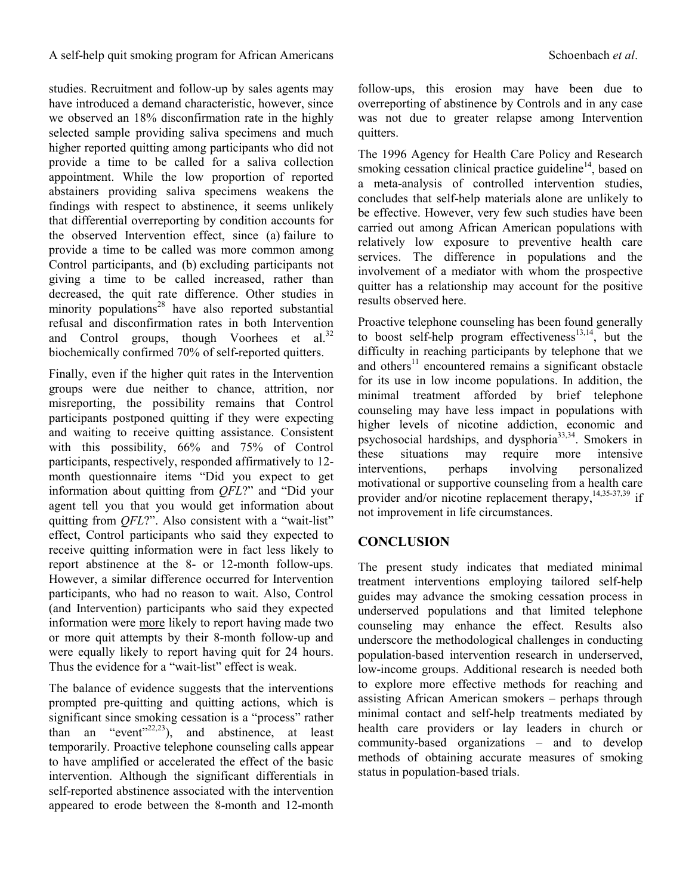studies. Recruitment and follow-up by sales agents may have introduced a demand characteristic, however, since we observed an 18% disconfirmation rate in the highly selected sample providing saliva specimens and much higher reported quitting among participants who did not provide a time to be called for a saliva collection appointment. While the low proportion of reported abstainers providing saliva specimens weakens the findings with respect to abstinence, it seems unlikely that differential overreporting by condition accounts for the observed Intervention effect, since (a) failure to provide a time to be called was more common among Control participants, and (b) excluding participants not giving a time to be called increased, rather than decreased, the quit rate difference. Other studies in minority populations<sup>28</sup> have also reported substantial refusal and disconfirmation rates in both Intervention and Control groups, though Voorhees et al.<sup>32</sup> biochemically confirmed 70% of self-reported quitters.

Finally, even if the higher quit rates in the Intervention groups were due neither to chance, attrition, nor misreporting, the possibility remains that Control participants postponed quitting if they were expecting and waiting to receive quitting assistance. Consistent with this possibility, 66% and 75% of Control participants, respectively, responded affirmatively to 12 month questionnaire items "Did you expect to get information about quitting from *QFL*?" and "Did your agent tell you that you would get information about quitting from *QFL*?". Also consistent with a "wait-list" effect, Control participants who said they expected to receive quitting information were in fact less likely to report abstinence at the 8- or 12-month follow-ups. However, a similar difference occurred for Intervention participants, who had no reason to wait. Also, Control (and Intervention) participants who said they expected information were more likely to report having made two or more quit attempts by their 8-month follow-up and were equally likely to report having quit for 24 hours. Thus the evidence for a "wait-list" effect is weak.

The balance of evidence suggests that the interventions prompted pre-quitting and quitting actions, which is significant since smoking cessation is a "process" rather than an "event"<sup>22,23</sup>), and abstinence, at least temporarily. Proactive telephone counseling calls appear to have amplified or accelerated the effect of the basic intervention. Although the significant differentials in self-reported abstinence associated with the intervention appeared to erode between the 8-month and 12-month follow-ups, this erosion may have been due to overreporting of abstinence by Controls and in any case was not due to greater relapse among Intervention quitters.

The 1996 Agency for Health Care Policy and Research smoking cessation clinical practice guideline<sup>14</sup>, based on a meta-analysis of controlled intervention studies, concludes that self-help materials alone are unlikely to be effective. However, very few such studies have been carried out among African American populations with relatively low exposure to preventive health care services. The difference in populations and the involvement of a mediator with whom the prospective quitter has a relationship may account for the positive results observed here.

Proactive telephone counseling has been found generally to boost self-help program effectiveness $^{13,14}$ , but the difficulty in reaching participants by telephone that we and others<sup>11</sup> encountered remains a significant obstacle for its use in low income populations. In addition, the minimal treatment afforded by brief telephone counseling may have less impact in populations with higher levels of nicotine addiction, economic and psychosocial hardships, and dysphoria<sup>33,34</sup>. Smokers in these situations may require more intensive interventions, perhaps involving personalized motivational or supportive counseling from a health care provider and/or nicotine replacement therapy,  $\frac{14,35-37,39}{1}$  if not improvement in life circumstances.

## **CONCLUSION**

The present study indicates that mediated minimal treatment interventions employing tailored self-help guides may advance the smoking cessation process in underserved populations and that limited telephone counseling may enhance the effect. Results also underscore the methodological challenges in conducting population-based intervention research in underserved, low-income groups. Additional research is needed both to explore more effective methods for reaching and assisting African American smokers – perhaps through minimal contact and self-help treatments mediated by health care providers or lay leaders in church or community-based organizations – and to develop methods of obtaining accurate measures of smoking status in population-based trials.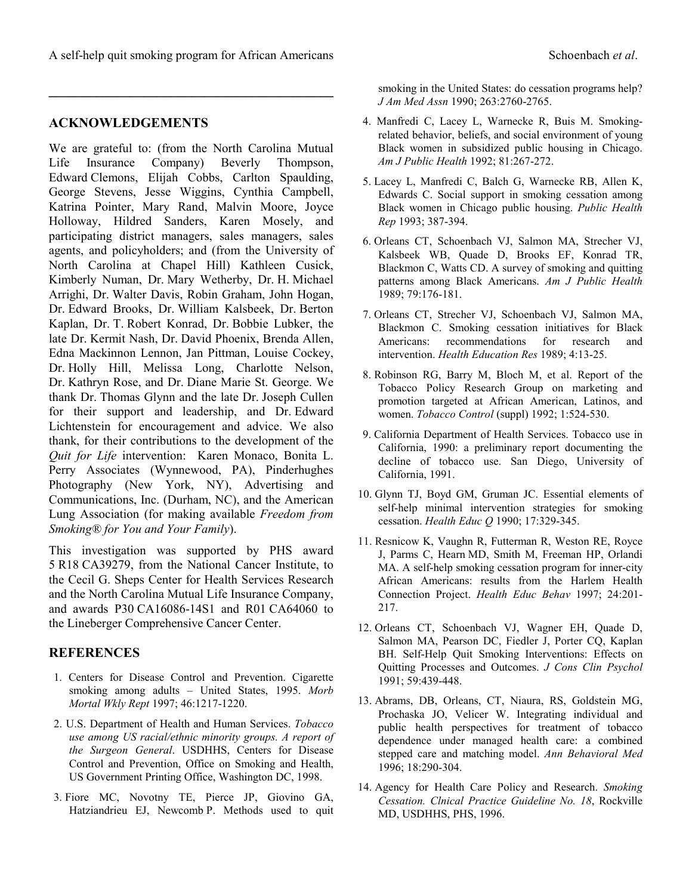$\mathcal{L} = \{ \mathcal{L} \}$ 

#### **ACKNOWLEDGEMENTS**

We are grateful to: (from the North Carolina Mutual Life Insurance Company) Beverly Thompson, Edward Clemons, Elijah Cobbs, Carlton Spaulding, George Stevens, Jesse Wiggins, Cynthia Campbell, Katrina Pointer, Mary Rand, Malvin Moore, Joyce Holloway, Hildred Sanders, Karen Mosely, and participating district managers, sales managers, sales agents, and policyholders; and (from the University of North Carolina at Chapel Hill) Kathleen Cusick, Kimberly Numan, Dr. Mary Wetherby, Dr. H. Michael Arrighi, Dr. Walter Davis, Robin Graham, John Hogan, Dr. Edward Brooks, Dr. William Kalsbeek, Dr. Berton Kaplan, Dr. T. Robert Konrad, Dr. Bobbie Lubker, the late Dr. Kermit Nash, Dr. David Phoenix, Brenda Allen, Edna Mackinnon Lennon, Jan Pittman, Louise Cockey, Dr. Holly Hill, Melissa Long, Charlotte Nelson, Dr. Kathryn Rose, and Dr. Diane Marie St. George. We thank Dr. Thomas Glynn and the late Dr. Joseph Cullen for their support and leadership, and Dr. Edward Lichtenstein for encouragement and advice. We also thank, for their contributions to the development of the *Quit for Life* intervention: Karen Monaco, Bonita L. Perry Associates (Wynnewood, PA), Pinderhughes Photography (New York, NY), Advertising and Communications, Inc. (Durham, NC), and the American Lung Association (for making available *Freedom from Smoking® for You and Your Family*).

This investigation was supported by PHS award 5 R18 CA39279, from the National Cancer Institute, to the Cecil G. Sheps Center for Health Services Research and the North Carolina Mutual Life Insurance Company, and awards P30 CA16086-14S1 and R01 CA64060 to the Lineberger Comprehensive Cancer Center.

### **REFERENCES**

- 1. Centers for Disease Control and Prevention. Cigarette smoking among adults – United States, 1995. *Morb Mortal Wkly Rept* 1997; 46:1217-1220.
- 2. U.S. Department of Health and Human Services. *Tobacco use among US racial/ethnic minority groups. A report of the Surgeon General*. USDHHS, Centers for Disease Control and Prevention, Office on Smoking and Health, US Government Printing Office, Washington DC, 1998.
- 3. Fiore MC, Novotny TE, Pierce JP, Giovino GA, Hatziandrieu EJ, Newcomb P. Methods used to quit

smoking in the United States: do cessation programs help? *J Am Med Assn* 1990; 263:2760-2765.

- 4. Manfredi C, Lacey L, Warnecke R, Buis M. Smokingrelated behavior, beliefs, and social environment of young Black women in subsidized public housing in Chicago. *Am J Public Health* 1992; 81:267-272.
- 5. Lacey L, Manfredi C, Balch G, Warnecke RB, Allen K, Edwards C. Social support in smoking cessation among Black women in Chicago public housing. *Public Health Rep* 1993; 387-394.
- 6. Orleans CT, Schoenbach VJ, Salmon MA, Strecher VJ, Kalsbeek WB, Quade D, Brooks EF, Konrad TR, Blackmon C, Watts CD. A survey of smoking and quitting patterns among Black Americans. *Am J Public Health* 1989; 79:176-181.
- 7. Orleans CT, Strecher VJ, Schoenbach VJ, Salmon MA, Blackmon C. Smoking cessation initiatives for Black Americans: recommendations for research and intervention. *Health Education Res* 1989; 4:13-25.
- 8. Robinson RG, Barry M, Bloch M, et al. Report of the Tobacco Policy Research Group on marketing and promotion targeted at African American, Latinos, and women. *Tobacco Control* (suppl) 1992; 1:524-530.
- 9. California Department of Health Services. Tobacco use in California, 1990: a preliminary report documenting the decline of tobacco use. San Diego, University of California, 1991.
- 10. Glynn TJ, Boyd GM, Gruman JC. Essential elements of self-help minimal intervention strategies for smoking cessation. *Health Educ Q* 1990; 17:329-345.
- 11. Resnicow K, Vaughn R, Futterman R, Weston RE, Royce J, Parms C, Hearn MD, Smith M, Freeman HP, Orlandi MA. A self-help smoking cessation program for inner-city African Americans: results from the Harlem Health Connection Project. *Health Educ Behav* 1997; 24:201- 217.
- 12. Orleans CT, Schoenbach VJ, Wagner EH, Quade D, Salmon MA, Pearson DC, Fiedler J, Porter CQ, Kaplan BH. Self-Help Quit Smoking Interventions: Effects on Quitting Processes and Outcomes. *J Cons Clin Psychol* 1991; 59:439-448.
- 13. Abrams, DB, Orleans, CT, Niaura, RS, Goldstein MG, Prochaska JO, Velicer W. Integrating individual and public health perspectives for treatment of tobacco dependence under managed health care: a combined stepped care and matching model. *Ann Behavioral Med* 1996; 18:290-304.
- 14. Agency for Health Care Policy and Research. *Smoking Cessation. Clnical Practice Guideline No. 18*, Rockville MD, USDHHS, PHS, 1996.